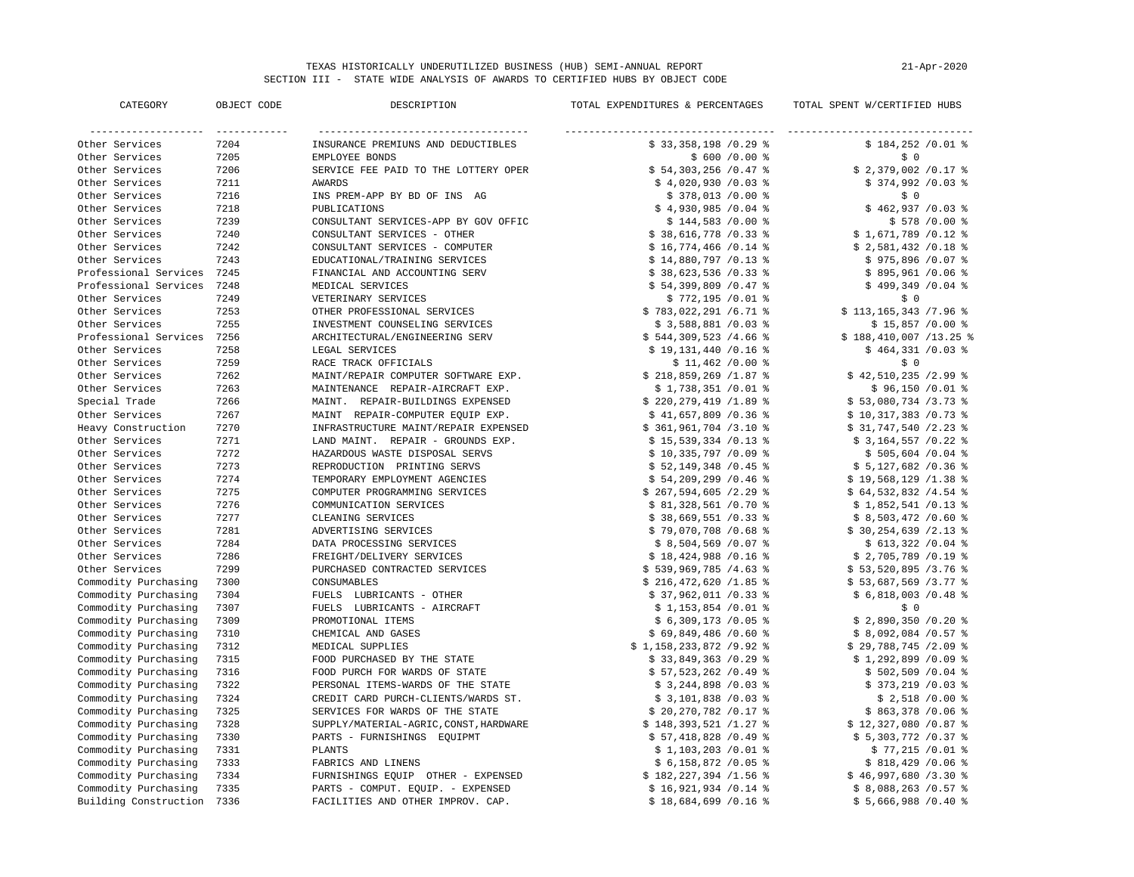## TEXAS HISTORICALLY UNDERUTILIZED BUSINESS (HUB) SEMI-ANNUAL REPORT SECTION III - STATE WIDE ANALYSIS OF AWARDS TO CERTIFIED HUBS BY OBJECT CODE

| 21-Apr-2020 |  |
|-------------|--|
|             |  |

| CATEGORY                        | OBJECT CODE | DESCRIPTION                            | TOTAL EXPENDITURES & PERCENTAGES | TOTAL SPENT W/CERTIFIED HUBS         |
|---------------------------------|-------------|----------------------------------------|----------------------------------|--------------------------------------|
| ------------------- ----------- |             |                                        |                                  | ____________________________________ |
| Other Services                  | 7204        | INSURANCE PREMIUNS AND DEDUCTIBLES     | \$33,358,198 /0.29               | $$184,252 /0.01$ %                   |
| Other Services                  | 7205        | EMPLOYEE BONDS                         | $$600/0.00$ %                    | \$0                                  |
| Other Services                  | 7206        | SERVICE FEE PAID TO THE LOTTERY OPER   | $$54,303,256/0.47$ %             | $$2,379,002$ /0.17 %                 |
| Other Services                  | 7211        | <b>AWARDS</b>                          | $$4,020,930 /0.03$ %             | $$374,992 /0.03$ %                   |
| Other Services                  | 7216        | INS PREM-APP BY BD OF INS AG           | $$378,013/0.00$ %                | \$0                                  |
| Other Services                  | 7218        | PUBLICATIONS                           | $$4,930,985/0.04$ %              | $$462,937/0.03$ %                    |
| Other Services                  | 7239        | CONSULTANT SERVICES-APP BY GOV OFFIC   | $$144,583/0.00$ %                | $$578 / 0.00$ %                      |
| Other Services                  | 7240        | CONSULTANT SERVICES - OTHER            | $$38,616,778/0.33$ %             | $$1,671,789$ /0.12 %                 |
| Other Services                  | 7242        | CONSULTANT SERVICES - COMPUTER         | $$16,774,466$ /0.14 %            | $$2,581,432 /0.18$ %                 |
| Other Services                  | 7243        | EDUCATIONAL/TRAINING SERVICES          | $$14,880,797/0.13$ %             | $$975,896 /0.07$ %                   |
| Professional Services           | 7245        | FINANCIAL AND ACCOUNTING SERV          | $$38,623,536 / 0.33$ %           | $$895,961 /0.06$ %                   |
| Professional Services           | 7248        | MEDICAL SERVICES                       | $$54,399,809/0.47$ %             | $$499,349/0.04$ %                    |
| Other Services                  | 7249        | VETERINARY SERVICES                    | $$772,195/0.01$ %                | \$0                                  |
| Other Services                  | 7253        | OTHER PROFESSIONAL SERVICES            | $$783,022,291/6.71$ %            | $$113, 165, 343$ /7.96 %             |
| Other Services                  | 7255        | INVESTMENT COUNSELING SERVICES         | $$3,588,881 /0.03$ %             | $$15,857/0.00$ %                     |
| Professional Services           | 7256        | ARCHITECTURAL/ENGINEERING SERV         | $$544,309,523 / 4.66$ \;         | $$188,410,007/13.25$ %               |
| Other Services                  | 7258        | LEGAL SERVICES                         | $$19,131,440 /0.16$ %            | $$464,331/0.03$ %                    |
| Other Services                  | 7259        | RACE TRACK OFFICIALS                   | $$11,462$ /0.00 %                | \$0                                  |
| Other Services                  | 7262        | MAINT/REPAIR COMPUTER SOFTWARE EXP.    | \$218,859,269/1.87               | $$42,510,235/2.99$ %                 |
| Other Services                  | 7263        | MAINTENANCE REPAIR-AIRCRAFT EXP.       | $$1,738,351 /0.01$ %             | $$96,150/0.01$ %                     |
| Special Trade                   | 7266        | MAINT. REPAIR-BUILDINGS EXPENSED       | \$220, 279, 419 / 1.89           | $$53,080,734$ /3.73 %                |
| Other Services                  | 7267        | MAINT REPAIR-COMPUTER EQUIP EXP.       | $$41,657,809$ /0.36 %            | $$10,317,383/0.73$ %                 |
| Heavy Construction              | 7270        | INFRASTRUCTURE MAINT/REPAIR EXPENSED   | $$361,961,704 /3.10$ %           | $$31,747,540 /2.23$ %                |
| Other Services                  | 7271        | LAND MAINT. REPAIR - GROUNDS EXP.      | $$15,539,334$ /0.13 %            | $$3,164,557/0.22$ %                  |
| Other Services                  | 7272        | HAZARDOUS WASTE DISPOSAL SERVS         | $$10,335,797/0.09$ %             | $$505,604 / 0.04$ %                  |
| Other Services                  | 7273        | REPRODUCTION PRINTING SERVS            | $$52,149,348$ /0.45 %            | $$5,127,682$ /0.36 %                 |
| Other Services                  | 7274        | TEMPORARY EMPLOYMENT AGENCIES          | $$54,209,299/0.46$ %             | $$19,568,129/1.38$ %                 |
| Other Services                  | 7275        | COMPUTER PROGRAMMING SERVICES          | $$267,594,605/2.29$ %            | \$64,532,832 / 4.54 \$               |
| Other Services                  | 7276        | COMMUNICATION SERVICES                 | $$81,328,561 /0.70$ %            | $$1,852,541 /0.13$ %                 |
| Other Services                  | 7277        | CLEANING SERVICES                      | $$38,669,551/0.33$ %             | $$8,503,472/0.60$ \;                 |
| Other Services                  | 7281        | ADVERTISING SERVICES                   | $$79,070,708$ /0.68 %            | $$30, 254, 639 / 2.13$ %             |
| Other Services                  | 7284        | DATA PROCESSING SERVICES               | $$8,504,569$ /0.07 %             | $$613,322 /0.04$ %                   |
| Other Services                  | 7286        | FREIGHT/DELIVERY SERVICES              | $$18,424,988$ /0.16 %            | $$2,705,789$ /0.19 %                 |
| Other Services                  | 7299        | PURCHASED CONTRACTED SERVICES          | \$539,969,785 / 4.63             | $$53,520,895$ /3.76 %                |
| Commodity Purchasing            | 7300        | CONSUMABLES                            | $$216,472,620/1.85$ %            | $$53,687,569$ /3.77 %                |
| Commodity Purchasing            | 7304        | FUELS LUBRICANTS - OTHER               | $$37,962,011 /0.33$ %            | $$6,818,003/0.48$ %                  |
| Commodity Purchasing            | 7307        | FUELS LUBRICANTS - AIRCRAFT            | $$1,153,854$ /0.01 %             | \$0                                  |
| Commodity Purchasing            | 7309        | PROMOTIONAL ITEMS                      | $$6,309,173/0.05$ %              | $$2,890,350/0.20$ %                  |
| Commodity Purchasing            | 7310        | CHEMICAL AND GASES                     | $$69,849,486$ /0.60 %            | $$8,092,084$ /0.57 %                 |
| Commodity Purchasing            | 7312        | MEDICAL SUPPLIES                       | $$1,158,233,872$ /9.92 %         | $$29,788,745/2.09$ %                 |
| Commodity Purchasing            | 7315        | FOOD PURCHASED BY THE STATE            | $$33,849,363/0.29$ %             | $$1,292,899$ /0.09 %                 |
| Commodity Purchasing            | 7316        | FOOD PURCH FOR WARDS OF STATE          | \$57,523,262 /0.49               | $$502,509 / 0.04$ %                  |
| Commodity Purchasing            | 7322        | PERSONAL ITEMS-WARDS OF THE STATE      | $$3,244,898$ /0.03 %             | $$373,219 /0.03$ %                   |
| Commodity Purchasing            | 7324        | CREDIT CARD PURCH-CLIENTS/WARDS ST.    | $$3,101,838$ /0.03 %             | $$2,518/0.00$ %                      |
| Commodity Purchasing            | 7325        | SERVICES FOR WARDS OF THE STATE        | $$20,270,782$ /0.17 %            | $$863,378/0.06$ %                    |
| Commodity Purchasing            | 7328        | SUPPLY/MATERIAL-AGRIC, CONST, HARDWARE | $$148,393,521/1.27$ %            | $$12,327,080$ /0.87 %                |
| Commodity Purchasing            | 7330        | PARTS - FURNISHINGS EQUIPMT            | $$57,418,828$ /0.49 %            | $$5,303,772$ /0.37 %                 |
| Commodity Purchasing            | 7331        | PLANTS                                 | $$1,103,203/0.01$ %              | $$77,215/0.01$ %                     |
| Commodity Purchasing            | 7333        | FABRICS AND LINENS                     | $$6,158,872$ /0.05 %             | $$818,429/0.06$ %                    |
| Commodity Purchasing            | 7334        | FURNISHINGS EQUIP OTHER - EXPENSED     | $$182, 227, 394$ /1.56 %         | \$46,997,680/3.30                    |
| Commodity Purchasing            | 7335        | PARTS - COMPUT. EQUIP. - EXPENSED      | $$16,921,934 /0.14$ %            | $$8,088,263/0.57$ %                  |
| Building Construction           | 7336        | FACILITIES AND OTHER IMPROV. CAP.      | $$18,684,699$ /0.16 %            | $$5,666,988$ /0.40 %                 |